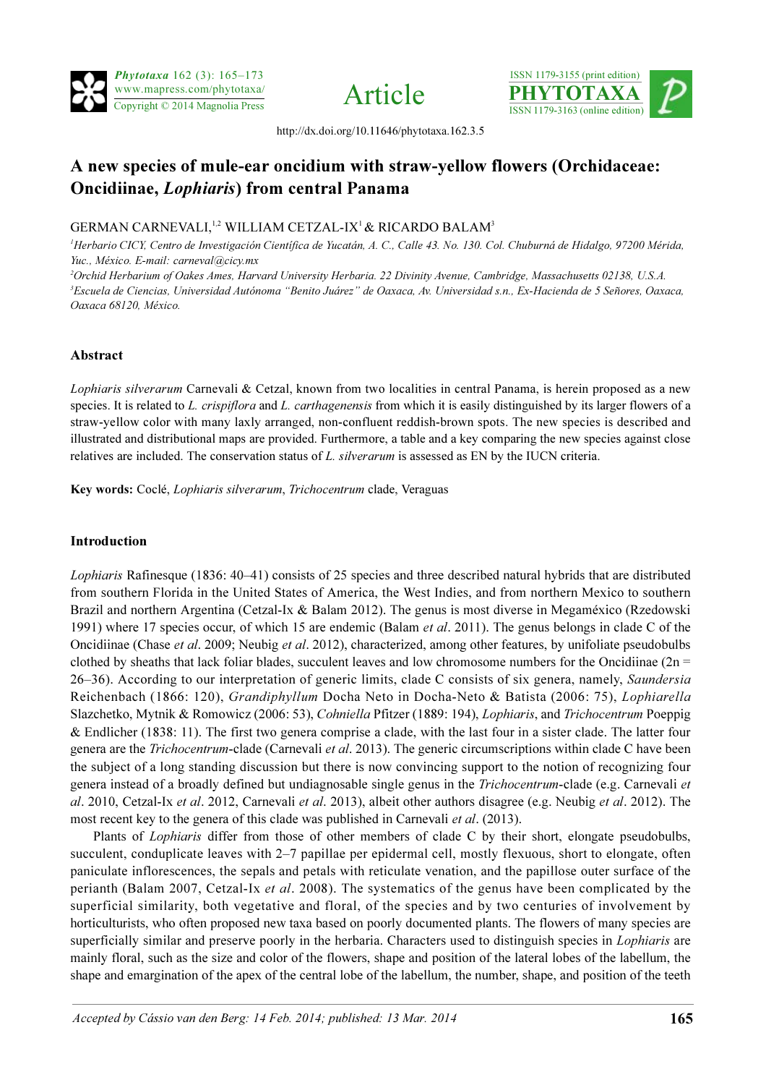





http://dx.doi.org/10.11646/phytotaxa.162.3.5

## A new species of mule-ear oncidium with straw-yellow flowers (Orchidaceae: Oncidiinae, Lophiaris) from central Panama

GERMAN CARNEVALI,<sup>1,2</sup> WILLIAM CETZAL-IX<sup>1</sup> & RICARDO BALAM<sup>3</sup>

<sup>1</sup>Herbario CICY, Centro de Investigación Científica de Yucatán, A. C., Calle 43. No. 130. Col. Chuburná de Hidalgo, 97200 Mérida, Yuc., México. E-mail: carneval@cicy.mx

2 Orchid Herbarium of Oakes Ames, Harvard University Herbaria. 22 Divinity Avenue, Cambridge, Massachusetts 02138, U.S.A. 3 Escuela de Ciencias, Universidad Autónoma "Benito Juárez" de Oaxaca, Av. Universidad s.n., Ex-Hacienda de 5 Señores, Oaxaca, Oaxaca 68120, México.

## Abstract

Lophiaris silverarum Carnevali & Cetzal, known from two localities in central Panama, is herein proposed as a new species. It is related to L. crispiflora and L. carthagenensis from which it is easily distinguished by its larger flowers of a straw-yellow color with many laxly arranged, non-confluent reddish-brown spots. The new species is described and illustrated and distributional maps are provided. Furthermore, a table and a key comparing the new species against close relatives are included. The conservation status of L. silverarum is assessed as EN by the IUCN criteria.

Key words: Coclé, Lophiaris silverarum, Trichocentrum clade, Veraguas

## Introduction

Lophiaris Rafinesque (1836: 40–41) consists of 25 species and three described natural hybrids that are distributed from southern Florida in the United States of America, the West Indies, and from northern Mexico to southern Brazil and northern Argentina (Cetzal-Ix & Balam 2012). The genus is most diverse in Megaméxico (Rzedowski 1991) where 17 species occur, of which 15 are endemic (Balam *et al.* 2011). The genus belongs in clade C of the Oncidiinae (Chase et al. 2009; Neubig et al. 2012), characterized, among other features, by unifoliate pseudobulbs clothed by sheaths that lack foliar blades, succulent leaves and low chromosome numbers for the Oncidiinae ( $2n =$ 26–36). According to our interpretation of generic limits, clade C consists of six genera, namely, Saundersia Reichenbach (1866: 120), Grandiphyllum Docha Neto in Docha-Neto & Batista (2006: 75), Lophiarella Slazchetko, Mytnik & Romowicz (2006: 53), Cohniella Pfitzer (1889: 194), Lophiaris, and Trichocentrum Poeppig & Endlicher (1838: 11). The first two genera comprise a clade, with the last four in a sister clade. The latter four genera are the *Trichocentrum*-clade (Carnevali et al. 2013). The generic circumscriptions within clade C have been the subject of a long standing discussion but there is now convincing support to the notion of recognizing four genera instead of a broadly defined but undiagnosable single genus in the Trichocentrum-clade (e.g. Carnevali et al. 2010, Cetzal-Ix et al. 2012, Carnevali et al. 2013), albeit other authors disagree (e.g. Neubig et al. 2012). The most recent key to the genera of this clade was published in Carnevali *et al.* (2013).

Plants of *Lophiaris* differ from those of other members of clade C by their short, elongate pseudobulbs, succulent, conduplicate leaves with 2–7 papillae per epidermal cell, mostly flexuous, short to elongate, often paniculate inflorescences, the sepals and petals with reticulate venation, and the papillose outer surface of the perianth (Balam 2007, Cetzal-Ix et al. 2008). The systematics of the genus have been complicated by the superficial similarity, both vegetative and floral, of the species and by two centuries of involvement by horticulturists, who often proposed new taxa based on poorly documented plants. The flowers of many species are superficially similar and preserve poorly in the herbaria. Characters used to distinguish species in *Lophiaris* are mainly floral, such as the size and color of the flowers, shape and position of the lateral lobes of the labellum, the shape and emargination of the apex of the central lobe of the labellum, the number, shape, and position of the teeth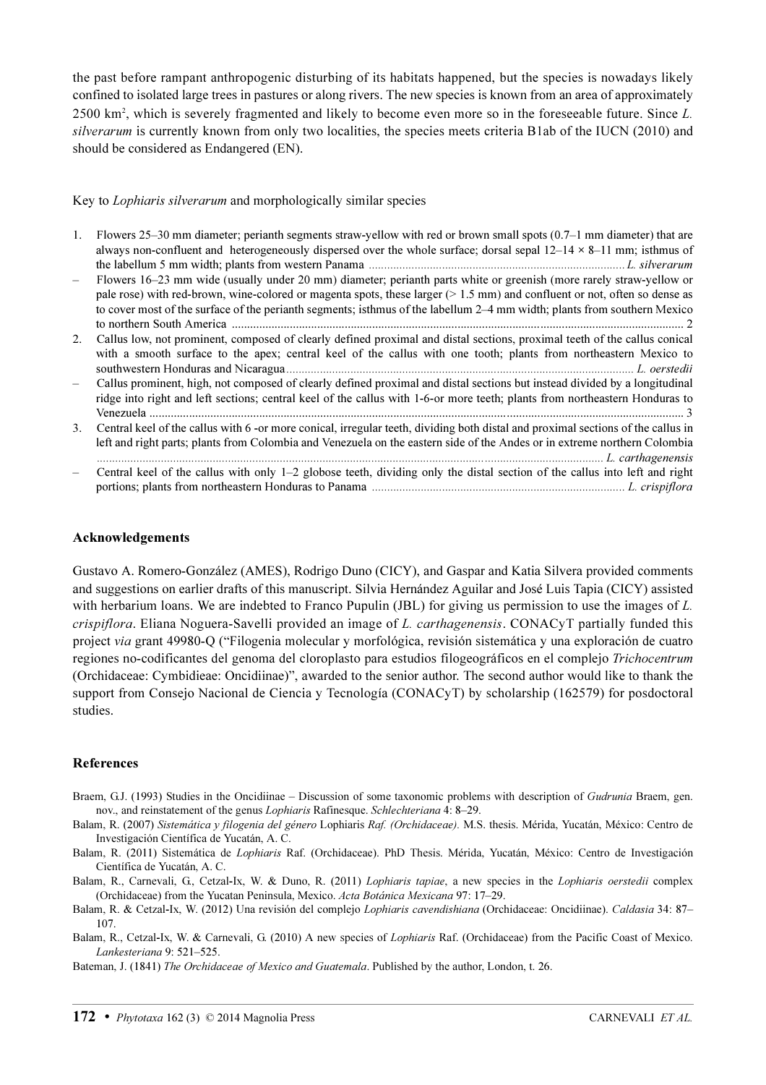the past before rampant anthropogenic disturbing of its habitats happened, but the species is nowadays likely confined to isolated large trees in pastures or along rivers. The new species is known from an area of approximately 2500 km<sup>2</sup>, which is severely fragmented and likely to become even more so in the foreseeable future. Since L. silverarum is currently known from only two localities, the species meets criteria B1ab of the IUCN (2010) and should be considered as Endangered (EN).

Key to Lophiaris silverarum and morphologically similar species

- 1. Flowers 25–30 mm diameter; perianth segments straw-yellow with red or brown small spots (0.7–1 mm diameter) that are always non-confluent and heterogeneously dispersed over the whole surface; dorsal sepal  $12-14 \times 8-11$  mm; isthmus of the labellum 5 mm width; plants from western Panama ....................................................................................L. silverarum
- Flowers 16–23 mm wide (usually under 20 mm) diameter; perianth parts white or greenish (more rarely straw-yellow or pale rose) with red-brown, wine-colored or magenta spots, these larger (> 1.5 mm) and confluent or not, often so dense as to cover most of the surface of the perianth segments; isthmus of the labellum 2–4 mm width; plants from southern Mexico to northern South America .................................................................................................................................................... 2
- 2. Callus low, not prominent, composed of clearly defined proximal and distal sections, proximal teeth of the callus conical with a smooth surface to the apex; central keel of the callus with one tooth; plants from northeastern Mexico to southwestern Honduras and Nicaragua .................................................................................................................. L. oerstedii
- Callus prominent, high, not composed of clearly defined proximal and distal sections but instead divided by a longitudinal ridge into right and left sections; central keel of the callus with 1-6-or more teeth; plants from northeastern Honduras to Venezuela ............................................................................................................................................................................... 3

3. Central keel of the callus with 6 -or more conical, irregular teeth, dividing both distal and proximal sections of the callus in left and right parts; plants from Colombia and Venezuela on the eastern side of the Andes or in extreme northern Colombia ...................................................................................................................................................................... L. carthagenensis – Central keel of the callus with only 1–2 globose teeth, dividing only the distal section of the callus into left and right portions; plants from northeastern Honduras to Panama ................................................................................... L. crispiflora

Acknowledgements

Gustavo A. Romero-González (AMES), Rodrigo Duno (CICY), and Gaspar and Katia Silvera provided comments and suggestions on earlier drafts of this manuscript. Silvia Hernández Aguilar and José Luis Tapia (CICY) assisted with herbarium loans. We are indebted to Franco Pupulin (JBL) for giving us permission to use the images of L. crispiflora. Eliana Noguera-Savelli provided an image of L. carthagenensis. CONACyT partially funded this project via grant 49980-Q ("Filogenia molecular y morfológica, revisión sistemática y una exploración de cuatro regiones no-codificantes del genoma del cloroplasto para estudios filogeográficos en el complejo Trichocentrum (Orchidaceae: Cymbidieae: Oncidiinae)", awarded to the senior author. The second author would like to thank the support from Consejo Nacional de Ciencia y Tecnología (CONACyT) by scholarship (162579) for posdoctoral studies.

## References

- Braem, G.J. (1993) Studies in the Oncidiinae Discussion of some taxonomic problems with description of Gudrunia Braem, gen. nov., and reinstatement of the genus Lophiaris Rafinesque. Schlechteriana 4: 8–29.
- Balam, R. (2007) Sistemática y filogenia del género Lophiaris Raf. (Orchidaceae). M.S. thesis. Mérida, Yucatán, México: Centro de Investigación Científica de Yucatán, A. C.
- Balam, R. (2011) Sistemática de Lophiaris Raf. (Orchidaceae). PhD Thesis. Mérida, Yucatán, México: Centro de Investigación Científica de Yucatán, A. C.
- Balam, R., Carnevali, G., Cetzal-Ix, W. & Duno, R. (2011) Lophiaris tapiae, a new species in the Lophiaris oerstedii complex (Orchidaceae) from the Yucatan Peninsula, Mexico. Acta Botánica Mexicana 97: 17–29.

Balam, R. & Cetzal-Ix, W. (2012) Una revisión del complejo Lophiaris cavendishiana (Orchidaceae: Oncidiinae). Caldasia 34: 87– 107.

Balam, R., Cetzal-Ix, W. & Carnevali, G. (2010) A new species of Lophiaris Raf. (Orchidaceae) from the Pacific Coast of Mexico. Lankesteriana 9: 521–525.

Bateman, J. (1841) The Orchidaceae of Mexico and Guatemala. Published by the author, London, t. 26.